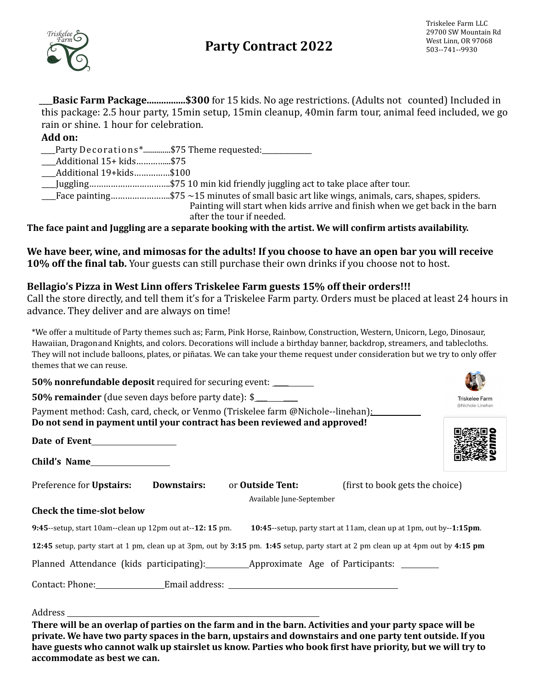# **Party Contract 2022** West Linn, OR 97068



**Basic Farm Package.................... \$300** for 15 kids. No age restrictions. (Adults not counted) Included in this package: 2.5 hour party, 15min setup, 15min cleanup, 40min farm tour, animal feed included, we go rain or shine. 1 hour for celebration.

### **Add on:**

\_\_Party Decorations\*..............\$75 Theme requested:\_\_\_\_\_\_\_\_\_\_\_\_\_\_\_\_\_\_\_\_\_\_\_\_\_\_

 \_\_\_\_Additional 15+ kids…………...\$75

 \_\_\_\_Additional 19+kids……………\$100

 \_\_\_\_Juggling…………………………….\$75 10 min kid friendly juggling act to take place after tour. 

 $\text{Trace}$  painting.......................\$75 ~15 minutes of small basic art like wings, animals, cars, shapes, spiders.

Painting will start when kids arrive and finish when we get back in the barn after the tour if needed.

The face paint and Juggling are a separate booking with the artist. We will confirm artists availability.

We have beer, wine, and mimosas for the adults! If you choose to have an open bar you will receive **10% off the final tab.** Your guests can still purchase their own drinks if you choose not to host.

### **Bellagio's Pizza in West Linn offers Triskelee Farm guests 15% off their orders!!!**

Call the store directly, and tell them it's for a Triskelee Farm party. Orders must be placed at least 24 hours in advance. They deliver and are always on time!

\*We offer a multitude of Party themes such as; Farm, Pink Horse, Rainbow, Construction, Western, Unicorn, Lego, Dinosaur, Hawaiian, Dragonand Knights, and colors. Decorations will include a birthday banner, backdrop, streamers, and tablecloths. They will not include balloons, plates, or piñatas. We can take your theme request under consideration but we try to only offer themes that we can reuse.

| <b>50% nonrefundable deposit required for securing event:</b> _________                                                                                                                                                 |                                    |
|-------------------------------------------------------------------------------------------------------------------------------------------------------------------------------------------------------------------------|------------------------------------|
| 50% remainder (due seven days before party date): \$                                                                                                                                                                    | Triskelee Farm<br>@Nichole-Linehan |
| Payment method: Cash, card, check, or Venmo (Triskelee farm @Nichole--linehan):<br>Do not send in payment until your contract has been reviewed and approved!                                                           |                                    |
|                                                                                                                                                                                                                         |                                    |
|                                                                                                                                                                                                                         |                                    |
| Preference for <b>Upstairs:</b><br>Downstairs:<br>or <b>Outside Tent:</b><br>(first to book gets the choice)<br>Available June-September                                                                                |                                    |
| <b>Check the time-slot below</b>                                                                                                                                                                                        |                                    |
| 9:45--setup, start 10am--clean up 12pm out at--12: 15 pm. 10:45--setup, party start at 11am, clean up at 1pm, out by--1:15pm.                                                                                           |                                    |
| 12:45 setup, party start at 1 pm, clean up at 3pm, out by 3:15 pm. 1:45 setup, party start at 2 pm clean up at 4pm out by 4:15 pm                                                                                       |                                    |
| Planned Attendance (kids participating): Approximate Age of Participants: ______                                                                                                                                        |                                    |
| Contact: Phone:___________________Email address: ________________________________                                                                                                                                       |                                    |
|                                                                                                                                                                                                                         |                                    |
| There will be an overlap of parties on the farm and in the barn. Activities and your party space will be<br>region to the house two negts crosses in the hour unctairs and downstairs and and posty tent outside If you |                                    |

**private. We have two party spaces in the barn, upstairs and downstairs and one party tent outside. If you have guests who cannot walk up stairslet us know. Parties who book first have priority, but we will try to accommodate as best we can.**